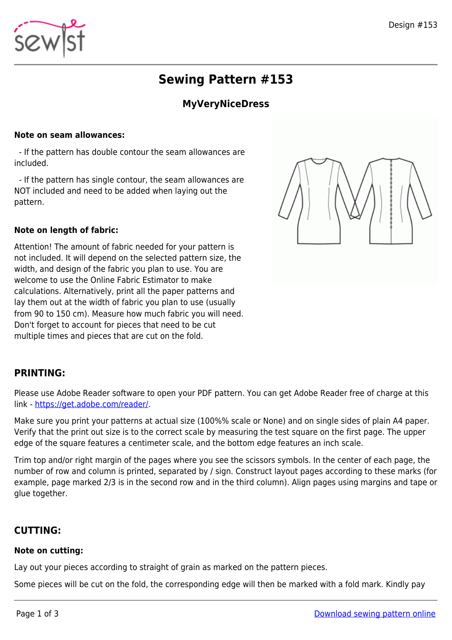# **Sewing Pattern #153**

## **MyVeryNiceDress**

#### **Note on seam allowances:**

 - If the pattern has double contour the seam allowances are included.

 - If the pattern has single contour, the seam allowances are NOT included and need to be added when laying out the pattern.

#### **Note on length of fabric:**

Attention! The amount of fabric needed for your pattern is not included. It will depend on the selected pattern size, the width, and design of the fabric you plan to use. You are welcome to use the Online Fabric Estimator to make calculations. Alternatively, print all the paper patterns and lay them out at the width of fabric you plan to use (usually from 90 to 150 cm). Measure how much fabric you will need. Don't forget to account for pieces that need to be cut multiple times and pieces that are cut on the fold.



### **PRINTING:**

Please use Adobe Reader software to open your PDF pattern. You can get Adobe Reader free of charge at this link -<https://get.adobe.com/reader/>.

Make sure you print your patterns at actual size (100%% scale or None) and on single sides of plain A4 paper. Verify that the print out size is to the correct scale by measuring the test square on the first page. The upper edge of the square features a centimeter scale, and the bottom edge features an inch scale.

Trim top and/or right margin of the pages where you see the scissors symbols. In the center of each page, the number of row and column is printed, separated by / sign. Construct layout pages according to these marks (for example, page marked 2/3 is in the second row and in the third column). Align pages using margins and tape or glue together.

### **CUTTING:**

#### **Note on cutting:**

Lay out your pieces according to straight of grain as marked on the pattern pieces.

Some pieces will be cut on the fold, the corresponding edge will then be marked with a fold mark. Kindly pay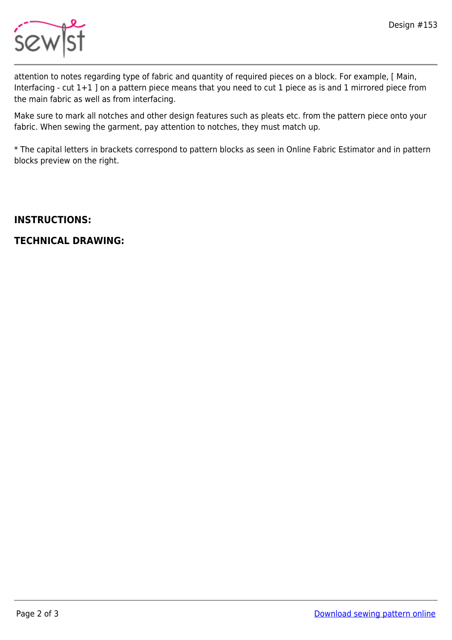

attention to notes regarding type of fabric and quantity of required pieces on a block. For example, [ Main, Interfacing - cut 1+1 ] on a pattern piece means that you need to cut 1 piece as is and 1 mirrored piece from the main fabric as well as from interfacing.

Make sure to mark all notches and other design features such as pleats etc. from the pattern piece onto your fabric. When sewing the garment, pay attention to notches, they must match up.

\* The capital letters in brackets correspond to pattern blocks as seen in Online Fabric Estimator and in pattern blocks preview on the right.

### **INSTRUCTIONS:**

### **TECHNICAL DRAWING:**